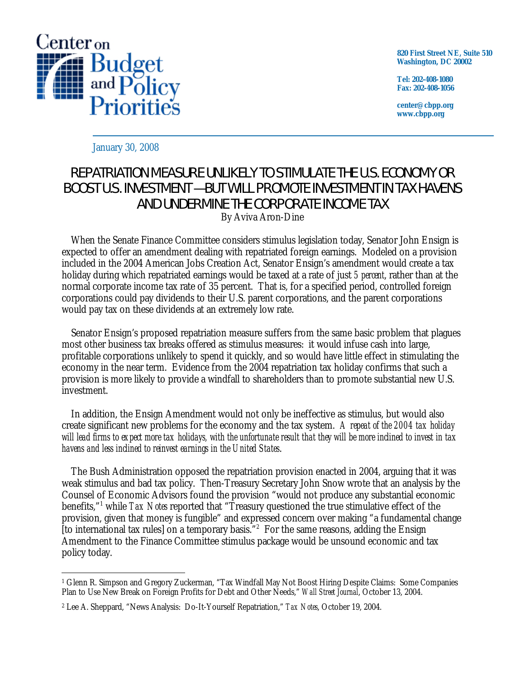

**820 First Street NE, Suite 510 Washington, DC 20002** 

**Tel: 202-408-1080 Fax: 202-408-1056** 

**center@cbpp.org www.cbpp.org** 

January 30, 2008

## REPATRIATION MEASURE UNLIKELY TO STIMULATE THE U.S. ECONOMY OR BOOST U.S. INVESTMENT — BUT WILL PROMOTE INVESTMENT IN TAX HAVENS AND UNDERMINE THE CORPORATE INCOME TAX By Aviva Aron-Dine

 When the Senate Finance Committee considers stimulus legislation today, Senator John Ensign is expected to offer an amendment dealing with repatriated foreign earnings. Modeled on a provision

included in the 2004 American Jobs Creation Act, Senator Ensign's amendment would create a tax holiday during which repatriated earnings would be taxed at a rate of just *5 percent*, rather than at the normal corporate income tax rate of 35 percent. That is, for a specified period, controlled foreign corporations could pay dividends to their U.S. parent corporations, and the parent corporations would pay tax on these dividends at an extremely low rate.

 Senator Ensign's proposed repatriation measure suffers from the same basic problem that plagues most other business tax breaks offered as stimulus measures: it would infuse cash into large, profitable corporations unlikely to spend it quickly, and so would have little effect in stimulating the economy in the near term. Evidence from the 2004 repatriation tax holiday confirms that such a provision is more likely to provide a windfall to shareholders than to promote substantial new U.S. investment.

 In addition, the Ensign Amendment would not only be ineffective as stimulus, but would also create significant new problems for the economy and the tax system. *A repeat of the 2004 tax holiday will lead firms to expect more tax holidays, with the unfortunate result that they will be more inclined to invest in tax havens and less inclined to reinvest earnings in the United States*.

 The Bush Administration opposed the repatriation provision enacted in 2004, arguing that it was weak stimulus and bad tax policy. Then-Treasury Secretary John Snow wrote that an analysis by the Counsel of Economic Advisors found the provision "would not produce any substantial economic benefits,"1 while *Tax Notes* reported that "Treasury questioned the true stimulative effect of the provision, given that money is fungible" and expressed concern over making "a fundamental change [to international tax rules] on a temporary basis."<sup>2</sup> For the same reasons, adding the Ensign Amendment to the Finance Committee stimulus package would be unsound economic and tax policy today.

 $\overline{a}$ 1 Glenn R. Simpson and Gregory Zuckerman, "Tax Windfall May Not Boost Hiring Despite Claims: Some Companies Plan to Use New Break on Foreign Profits for Debt and Other Needs," *Wall Street Journal*, October 13, 2004.

<sup>2</sup> Lee A. Sheppard, "News Analysis: Do-It-Yourself Repatriation," *Tax Notes*, October 19, 2004.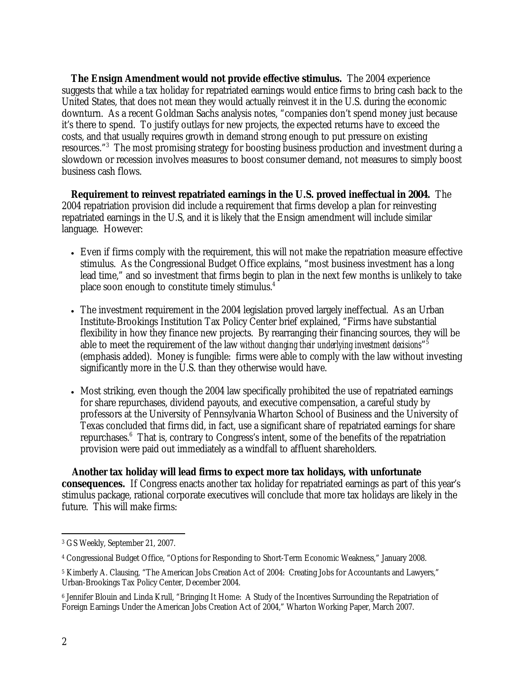**The Ensign Amendment would not provide effective stimulus.** The 2004 experience suggests that while a tax holiday for repatriated earnings would entice firms to bring cash back to the United States, that does not mean they would actually reinvest it in the U.S. during the economic downturn. As a recent Goldman Sachs analysis notes, "companies don't spend money just because it's there to spend. To justify outlays for new projects, the expected returns have to exceed the costs, and that usually requires growth in demand strong enough to put pressure on existing resources."<sup>3</sup> The most promising strategy for boosting business production and investment during a slowdown or recession involves measures to boost consumer demand, not measures to simply boost business cash flows.

**Requirement to reinvest repatriated earnings in the U.S. proved ineffectual in 2004.** The 2004 repatriation provision did include a requirement that firms develop a plan for reinvesting repatriated earnings in the U.S, and it is likely that the Ensign amendment will include similar language. However:

- Even if firms comply with the requirement, this will not make the repatriation measure effective stimulus. As the Congressional Budget Office explains, "most business investment has a long lead time," and so investment that firms begin to plan in the next few months is unlikely to take place soon enough to constitute timely stimulus.<sup>4</sup>
- The investment requirement in the 2004 legislation proved largely ineffectual. As an Urban Institute-Brookings Institution Tax Policy Center brief explained, "Firms have substantial flexibility in how they finance new projects. By rearranging their financing sources, they will be able to meet the requirement of the law *without changing their underlying investment decisions*"5 (emphasis added). Money is fungible: firms were able to comply with the law without investing significantly more in the U.S. than they otherwise would have.
- Most striking, even though the 2004 law specifically prohibited the use of repatriated earnings for share repurchases, dividend payouts, and executive compensation, a careful study by professors at the University of Pennsylvania Wharton School of Business and the University of Texas concluded that firms did, in fact, use a significant share of repatriated earnings for share repurchases.<sup>6</sup> That is, contrary to Congress's intent, some of the benefits of the repatriation provision were paid out immediately as a windfall to affluent shareholders.

**Another tax holiday will lead firms to expect more tax holidays, with unfortunate consequences.** If Congress enacts another tax holiday for repatriated earnings as part of this year's stimulus package, rational corporate executives will conclude that more tax holidays are likely in the future. This will make firms:

 $\overline{a}$ 3 GS Weekly, September 21, 2007.

<sup>4</sup> Congressional Budget Office, "Options for Responding to Short-Term Economic Weakness," January 2008.

<sup>5</sup> Kimberly A. Clausing, "The American Jobs Creation Act of 2004: Creating Jobs for Accountants and Lawyers," Urban-Brookings Tax Policy Center, December 2004.

<sup>6</sup> Jennifer Blouin and Linda Krull, "Bringing It Home: A Study of the Incentives Surrounding the Repatriation of Foreign Earnings Under the American Jobs Creation Act of 2004," Wharton Working Paper, March 2007.